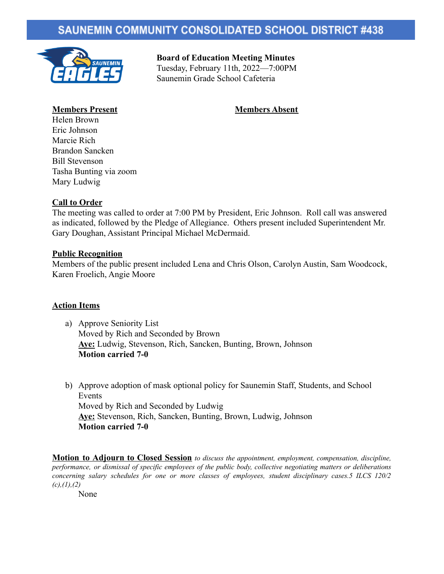# **SAUNEMIN COMMUNITY CONSOLIDATED SCHOOL DISTRICT #438**



**Board of Education Meeting Minutes** Tuesday, February 11th, 2022—7:00PM Saunemin Grade School Cafeteria

## **Members Present Members Absent**

- 
- Helen Brown Eric Johnson Marcie Rich Brandon Sancken Bill Stevenson Tasha Bunting via zoom Mary Ludwig

## **Call to Order**

The meeting was called to order at 7:00 PM by President, Eric Johnson. Roll call was answered as indicated, followed by the Pledge of Allegiance. Others present included Superintendent Mr. Gary Doughan, Assistant Principal Michael McDermaid.

### **Public Recognition**

Members of the public present included Lena and Chris Olson, Carolyn Austin, Sam Woodcock, Karen Froelich, Angie Moore

### **Action Items**

- a) Approve Seniority List Moved by Rich and Seconded by Brown **Aye:** Ludwig, Stevenson, Rich, Sancken, Bunting, Brown, Johnson **Motion carried 7-0**
- b) Approve adoption of mask optional policy for Saunemin Staff, Students, and School Events Moved by Rich and Seconded by Ludwig **Aye:** Stevenson, Rich, Sancken, Bunting, Brown, Ludwig, Johnson **Motion carried 7-0**

**Motion to Adjourn to Closed Session** *to discuss the appointment, employment, compensation, discipline, performance, or dismissal of specific employees of the public body, collective negotiating matters or deliberations concerning salary schedules for one or more classes of employees, student disciplinary cases.5 ILCS 120/2 (c),(1),(2)*

None